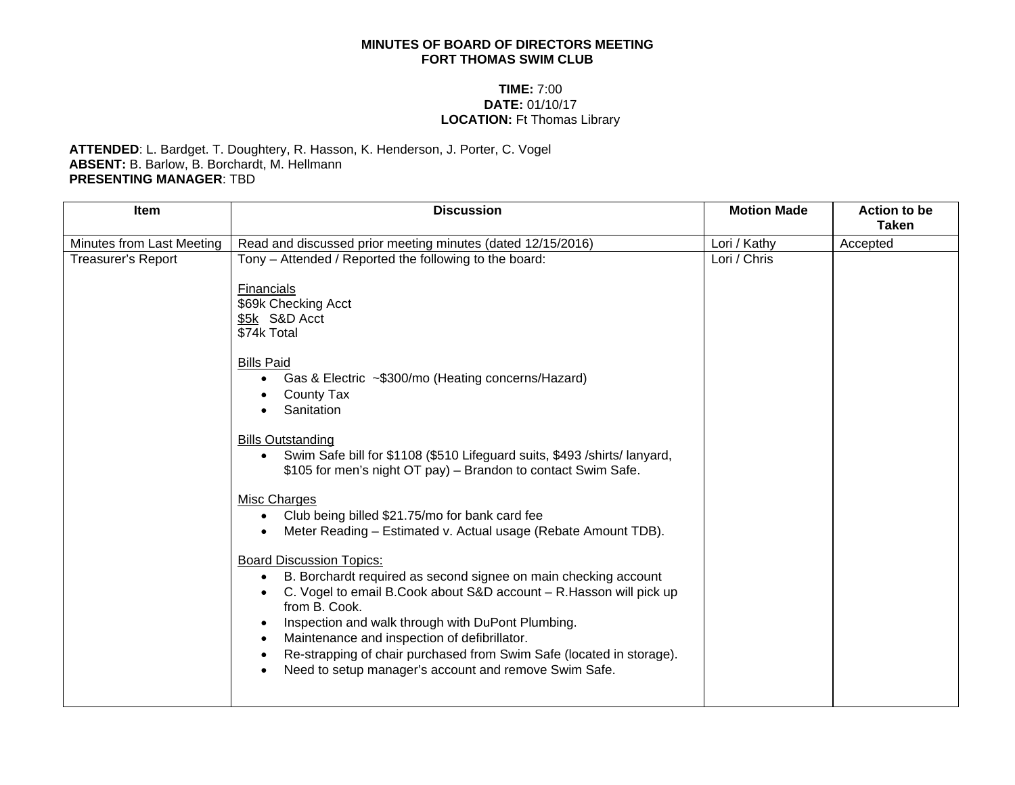## **MINUTES OF BOARD OF DIRECTORS MEETING FORT THOMAS SWIM CLUB**

## **TIME:** 7:00 **DATE:** 01/10/17 **LOCATION:** Ft Thomas Library

## **ATTENDED**: L. Bardget. T. Doughtery, R. Hasson, K. Henderson, J. Porter, C. Vogel **ABSENT:** B. Barlow, B. Borchardt, M. Hellmann **PRESENTING MANAGER**: TBD

| Item                      | <b>Discussion</b>                                                                                                                                                                                                                                                                                                                                                                                                                                                                                                                                                                                                                                                                                                                                                                                                                                                                                                                                                                                                | <b>Motion Made</b> | <b>Action to be</b><br><b>Taken</b> |
|---------------------------|------------------------------------------------------------------------------------------------------------------------------------------------------------------------------------------------------------------------------------------------------------------------------------------------------------------------------------------------------------------------------------------------------------------------------------------------------------------------------------------------------------------------------------------------------------------------------------------------------------------------------------------------------------------------------------------------------------------------------------------------------------------------------------------------------------------------------------------------------------------------------------------------------------------------------------------------------------------------------------------------------------------|--------------------|-------------------------------------|
| Minutes from Last Meeting | Read and discussed prior meeting minutes (dated 12/15/2016)                                                                                                                                                                                                                                                                                                                                                                                                                                                                                                                                                                                                                                                                                                                                                                                                                                                                                                                                                      | Lori / Kathy       | Accepted                            |
| <b>Treasurer's Report</b> | Tony - Attended / Reported the following to the board:<br>Financials<br>\$69k Checking Acct<br>\$5k S&D Acct<br>\$74k Total<br><b>Bills Paid</b><br>Gas & Electric ~\$300/mo (Heating concerns/Hazard)<br><b>County Tax</b><br>Sanitation<br><b>Bills Outstanding</b><br>Swim Safe bill for \$1108 (\$510 Lifeguard suits, \$493 / shirts/ lanyard,<br>\$105 for men's night OT pay) - Brandon to contact Swim Safe.<br><b>Misc Charges</b><br>Club being billed \$21.75/mo for bank card fee<br>Meter Reading – Estimated v. Actual usage (Rebate Amount TDB).<br><b>Board Discussion Topics:</b><br>B. Borchardt required as second signee on main checking account<br>$\bullet$<br>C. Vogel to email B.Cook about S&D account - R. Hasson will pick up<br>from B. Cook.<br>Inspection and walk through with DuPont Plumbing.<br>Maintenance and inspection of defibrillator.<br>Re-strapping of chair purchased from Swim Safe (located in storage).<br>Need to setup manager's account and remove Swim Safe. | Lori / Chris       |                                     |
|                           |                                                                                                                                                                                                                                                                                                                                                                                                                                                                                                                                                                                                                                                                                                                                                                                                                                                                                                                                                                                                                  |                    |                                     |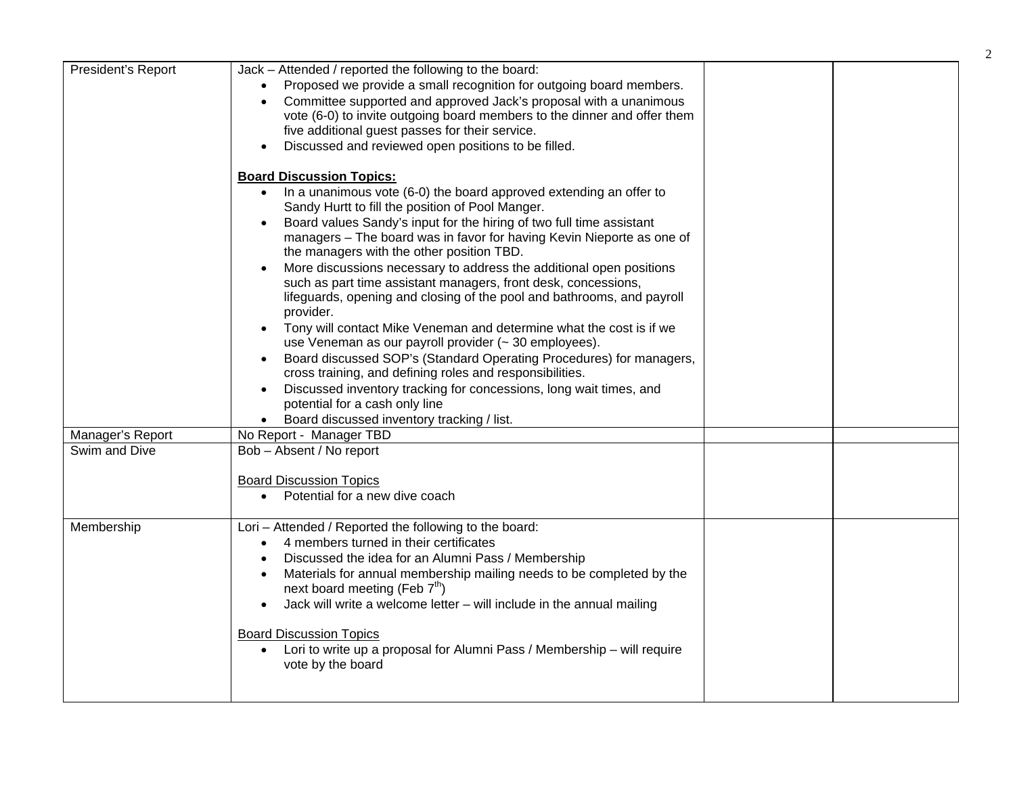| President's Report | Jack - Attended / reported the following to the board:                            |  |
|--------------------|-----------------------------------------------------------------------------------|--|
|                    | Proposed we provide a small recognition for outgoing board members.               |  |
|                    | Committee supported and approved Jack's proposal with a unanimous                 |  |
|                    | vote (6-0) to invite outgoing board members to the dinner and offer them          |  |
|                    | five additional guest passes for their service.                                   |  |
|                    | Discussed and reviewed open positions to be filled.<br>$\bullet$                  |  |
|                    |                                                                                   |  |
|                    | <b>Board Discussion Topics:</b>                                                   |  |
|                    | In a unanimous vote (6-0) the board approved extending an offer to<br>$\bullet$   |  |
|                    | Sandy Hurtt to fill the position of Pool Manger.                                  |  |
|                    | Board values Sandy's input for the hiring of two full time assistant              |  |
|                    | managers - The board was in favor for having Kevin Nieporte as one of             |  |
|                    | the managers with the other position TBD.                                         |  |
|                    | More discussions necessary to address the additional open positions<br>$\bullet$  |  |
|                    | such as part time assistant managers, front desk, concessions,                    |  |
|                    | lifeguards, opening and closing of the pool and bathrooms, and payroll            |  |
|                    | provider.                                                                         |  |
|                    | Tony will contact Mike Veneman and determine what the cost is if we<br>$\bullet$  |  |
|                    | use Veneman as our payroll provider (~ 30 employees).                             |  |
|                    | Board discussed SOP's (Standard Operating Procedures) for managers,<br>$\bullet$  |  |
|                    | cross training, and defining roles and responsibilities.                          |  |
|                    | Discussed inventory tracking for concessions, long wait times, and<br>$\bullet$   |  |
|                    | potential for a cash only line                                                    |  |
|                    | Board discussed inventory tracking / list.                                        |  |
| Manager's Report   | No Report - Manager TBD                                                           |  |
| Swim and Dive      | Bob - Absent / No report                                                          |  |
|                    |                                                                                   |  |
|                    | <b>Board Discussion Topics</b>                                                    |  |
|                    | Potential for a new dive coach                                                    |  |
|                    |                                                                                   |  |
| Membership         | Lori - Attended / Reported the following to the board:                            |  |
|                    | 4 members turned in their certificates<br>$\bullet$                               |  |
|                    | Discussed the idea for an Alumni Pass / Membership                                |  |
|                    | Materials for annual membership mailing needs to be completed by the<br>$\bullet$ |  |
|                    | next board meeting (Feb 7 <sup>th</sup> )                                         |  |
|                    | Jack will write a welcome letter – will include in the annual mailing             |  |
|                    |                                                                                   |  |
|                    | <b>Board Discussion Topics</b>                                                    |  |
|                    | Lori to write up a proposal for Alumni Pass / Membership - will require           |  |
|                    | vote by the board                                                                 |  |
|                    |                                                                                   |  |
|                    |                                                                                   |  |

2